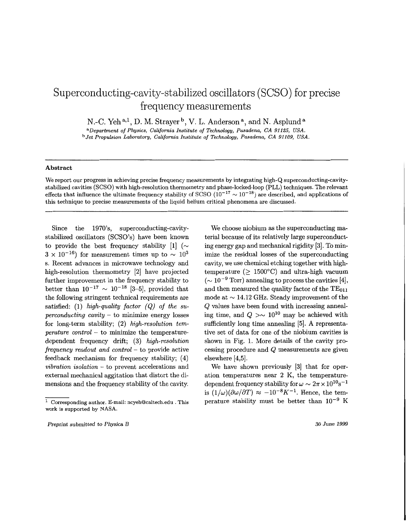## Superconducting-cavity-stabilized oscillators (SCSO) for precise frequency measurements

N.-C. Yeh<sup>a,1</sup>, D. M. Strayer<sup>b</sup>, V. L. Anderson<sup>a</sup>, and N. Asplund<sup>a</sup>

*aDepartment of Physics, California Institute of Technology, Pasadena, CA 91125, USA. bJet Propulsion Laboratory, California Institute of Technology, Pasadena, CA 91109, USA.* 

## **Abstract**

We report our progress in achieving precise frequency measurements by integrating high-Q superconducting-cavitystabilized cavities (SCSO) with high-resolution thermometry and phase-locked-loop (PLL) techniques. The relevant effects that influence the ultimate frequency stability of SCSO  $(10^{-17} \sim 10^{-18})$  are described, and applications of this technique to precise measurements of the liquid helium critical phenomena are discussed.

Since the 1970's, superconducting-cavitystabilized oscillators (SCSO's) have been known to provide the best frequency stability  $[1]$   $(\sim$  $3 \times 10^{-16}$ ) for measurement times up to  $\sim 10^3$ s. Recent advances in microwave technology and high-resolution thermometry [2] have projected further improvement in the frequency stability to better than  $10^{-17} \sim 10^{-18}$  [3-5], provided that the following stringent technical requirements are satisfied: (1) *high-quality factor (Q) of the superconducting cavity* - to minimize energy losses for long-term stability; (2) *high-resolution temperature control* - to minimize the temperaturedependent frequency drift; (3) *high-resolution frequency readout and control* - to provide active feedback mechanism for frequency stability; (4) *vibration isolation* - to prevent accelerations and external mechanical aggitation that distort the dimensions and the frequency stability of the cavity.

We choose niobium as the superconducting material because of its relatively large superconducting energy gap and mechanical rigidity [3]. To minimize the residual losses of the superconducting cavity, we use chemical etching together with hightemperature ( $\geq 1500^{\circ}$ C) and ultra-high vacuum  $({\sim 10^{-9} \text{ Torr}})$  annealing to process the cavities [4], and then measured the quality factor of the  $TE_{011}$ mode at  $\sim$  14.12 GHz. Steady improvement of the *Q* values have been found with increasing annealing time, and  $Q > \sim 10^{10}$  may be achieved with sufficiently long time annealing [5]. **A** representative set of data for one of the niobium cavities is shown in [Fig. 1.](#page-1-0) More details of the cavity processing procedure and Q measurements are given elsewhere [4,5].

We have shown previously [3] that for operation temperatures near 2 K, the temperaturedependent frequency stability for  $\omega \sim 2\pi \times 10^{10}$ s<sup>-1</sup> is  $(1/\omega)(\partial \omega/\partial T) \approx -10^{-8}K^{-1}$ . Hence, the temperature stability must be better than  $10^{-9}$  K

*30 June* **1999** 

*Corresponding author. E-mail[: ncyehQcaltech.edu](http://ncyehQcaltech.edu)* . *This*  **work** *is supported by* **NASA.**